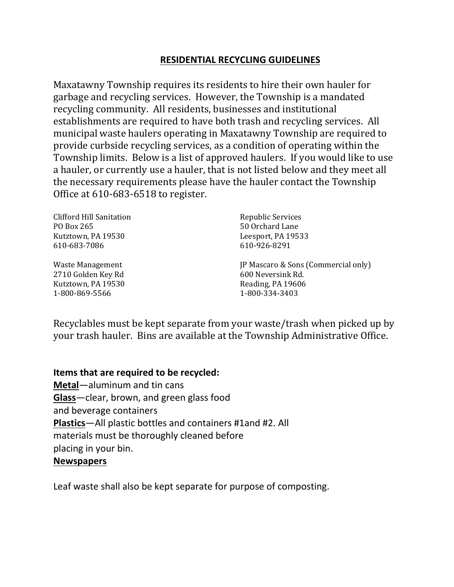#### **RESIDENTIAL RECYCLING GUIDELINES**

Maxatawny Township requires its residents to hire their own hauler for garbage and recycling services. However, the Township is a mandated recycling community. All residents, businesses and institutional establishments are required to have both trash and recycling services. All municipal waste haulers operating in Maxatawny Township are required to provide curbside recycling services, as a condition of operating within the Township limits. Below is a list of approved haulers. If you would like to use a hauler, or currently use a hauler, that is not listed below and they meet all the necessary requirements please have the hauler contact the Township Office at 610-683-6518 to register.

| Clifford Hill Sanitation | Republic Services                   |
|--------------------------|-------------------------------------|
| PO Box 265               | 50 Orchard Lane                     |
| Kutztown, PA 19530       | Leesport, PA 19533                  |
| 610-683-7086             | 610-926-8291                        |
| Waste Management         | JP Mascaro & Sons (Commercial only) |
| 2710 Golden Key Rd       | 600 Neversink Rd.                   |

Recyclables must be kept separate from your waste/trash when picked up by your trash hauler. Bins are available at the Township Administrative Office.

#### **Items that are required to be recycled:**

**Metal**—aluminum and tin cans **Glass**—clear, brown, and green glass food and beverage containers **Plastics**—All plastic bottles and containers #1and #2. All materials must be thoroughly cleaned before placing in your bin. **Newspapers**

Kutztown, PA 19530 Reading, PA 19606 1-800-869-5566 1-800-334-3403

Leaf waste shall also be kept separate for purpose of composting.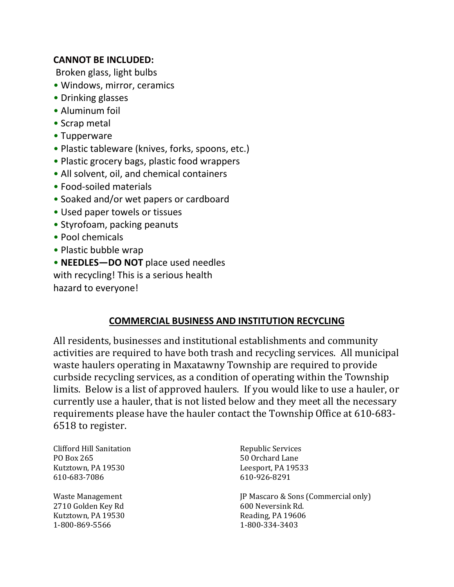## **CANNOT BE INCLUDED:**

Broken glass, light bulbs

- Windows, mirror, ceramics
- Drinking glasses
- Aluminum foil
- Scrap metal
- Tupperware
- Plastic tableware (knives, forks, spoons, etc.)
- Plastic grocery bags, plastic food wrappers
- All solvent, oil, and chemical containers
- Food-soiled materials
- Soaked and/or wet papers or cardboard
- Used paper towels or tissues
- Styrofoam, packing peanuts
- Pool chemicals
- Plastic bubble wrap
- **NEEDLES—DO NOT** place used needles with recycling! This is a serious health hazard to everyone!

# **COMMERCIAL BUSINESS AND INSTITUTION RECYCLING**

All residents, businesses and institutional establishments and community activities are required to have both trash and recycling services. All municipal waste haulers operating in Maxatawny Township are required to provide curbside recycling services, as a condition of operating within the Township limits. Below is a list of approved haulers. If you would like to use a hauler, or currently use a hauler, that is not listed below and they meet all the necessary requirements please have the hauler contact the Township Office at 610-683- 6518 to register.

Clifford Hill Sanitation **Republic Services** PO Box 265 50 Orchard Lane Kutztown, PA 19530 Leesport, PA 19533 610-683-7086 610-926-8291

2710 Golden Key Rd 600 Neversink Rd. Kutztown, PA 19530 Reading, PA 19606 1-800-869-5566 1-800-334-3403

Waste Management **Vertex** JP Mascaro & Sons (Commercial only)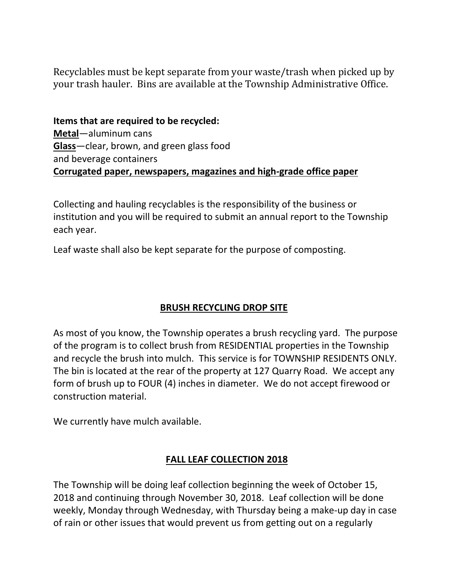Recyclables must be kept separate from your waste/trash when picked up by your trash hauler. Bins are available at the Township Administrative Office.

**Items that are required to be recycled: Metal**—aluminum cans **Glass**—clear, brown, and green glass food and beverage containers **Corrugated paper, newspapers, magazines and high-grade office paper**

Collecting and hauling recyclables is the responsibility of the business or institution and you will be required to submit an annual report to the Township each year.

Leaf waste shall also be kept separate for the purpose of composting.

# **BRUSH RECYCLING DROP SITE**

As most of you know, the Township operates a brush recycling yard. The purpose of the program is to collect brush from RESIDENTIAL properties in the Township and recycle the brush into mulch. This service is for TOWNSHIP RESIDENTS ONLY. The bin is located at the rear of the property at 127 Quarry Road. We accept any form of brush up to FOUR (4) inches in diameter. We do not accept firewood or construction material.

We currently have mulch available.

### **FALL LEAF COLLECTION 2018**

The Township will be doing leaf collection beginning the week of October 15, 2018 and continuing through November 30, 2018. Leaf collection will be done weekly, Monday through Wednesday, with Thursday being a make-up day in case of rain or other issues that would prevent us from getting out on a regularly